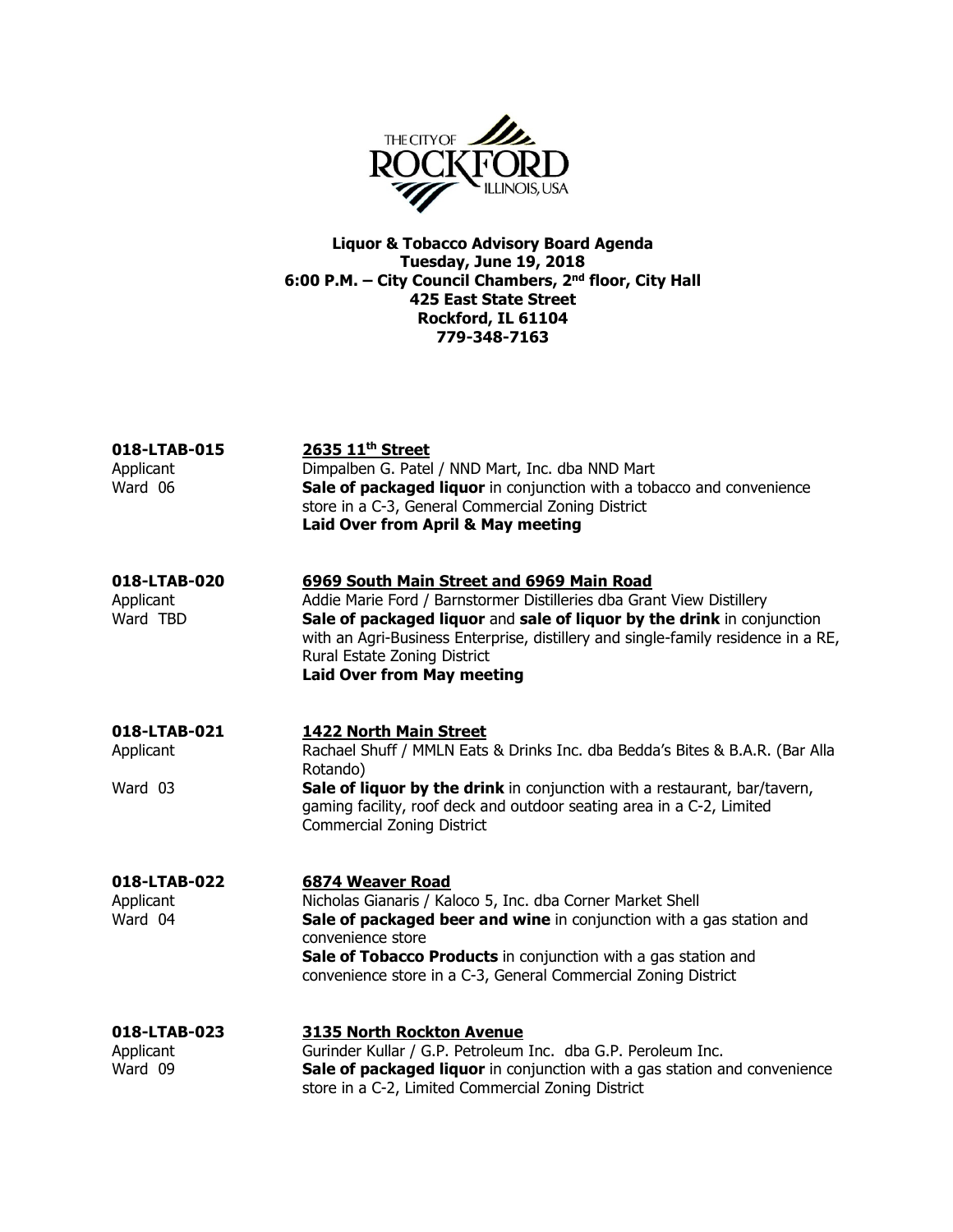

Liquor & Tobacco Advisory Board Agenda Tuesday, June 19, 2018 6:00 P.M. – City Council Chambers, 2<sup>nd</sup> floor, City Hall 425 East State Street Rockford, IL 61104 779-348-7163

| 018-LTAB-015<br>Applicant<br>Ward 06  | 2635 11 <sup>th</sup> Street<br>Dimpalben G. Patel / NND Mart, Inc. dba NND Mart<br>Sale of packaged liquor in conjunction with a tobacco and convenience<br>store in a C-3, General Commercial Zoning District<br>Laid Over from April & May meeting                                                                                                  |
|---------------------------------------|--------------------------------------------------------------------------------------------------------------------------------------------------------------------------------------------------------------------------------------------------------------------------------------------------------------------------------------------------------|
| 018-LTAB-020<br>Applicant<br>Ward TBD | 6969 South Main Street and 6969 Main Road<br>Addie Marie Ford / Barnstormer Distilleries dba Grant View Distillery<br>Sale of packaged liquor and sale of liquor by the drink in conjunction<br>with an Agri-Business Enterprise, distillery and single-family residence in a RE,<br>Rural Estate Zoning District<br><b>Laid Over from May meeting</b> |
| 018-LTAB-021<br>Applicant<br>Ward 03  | <b>1422 North Main Street</b><br>Rachael Shuff / MMLN Eats & Drinks Inc. dba Bedda's Bites & B.A.R. (Bar Alla<br>Rotando)<br>Sale of liquor by the drink in conjunction with a restaurant, bar/tavern,<br>gaming facility, roof deck and outdoor seating area in a C-2, Limited<br><b>Commercial Zoning District</b>                                   |
| 018-LTAB-022<br>Applicant<br>Ward 04  | 6874 Weaver Road<br>Nicholas Gianaris / Kaloco 5, Inc. dba Corner Market Shell<br>Sale of packaged beer and wine in conjunction with a gas station and<br>convenience store<br>Sale of Tobacco Products in conjunction with a gas station and<br>convenience store in a C-3, General Commercial Zoning District                                        |
| 018-LTAB-023<br>Applicant<br>Ward 09  | <b>3135 North Rockton Avenue</b><br>Gurinder Kullar / G.P. Petroleum Inc. dba G.P. Peroleum Inc.<br>Sale of packaged liquor in conjunction with a gas station and convenience<br>store in a C-2, Limited Commercial Zoning District                                                                                                                    |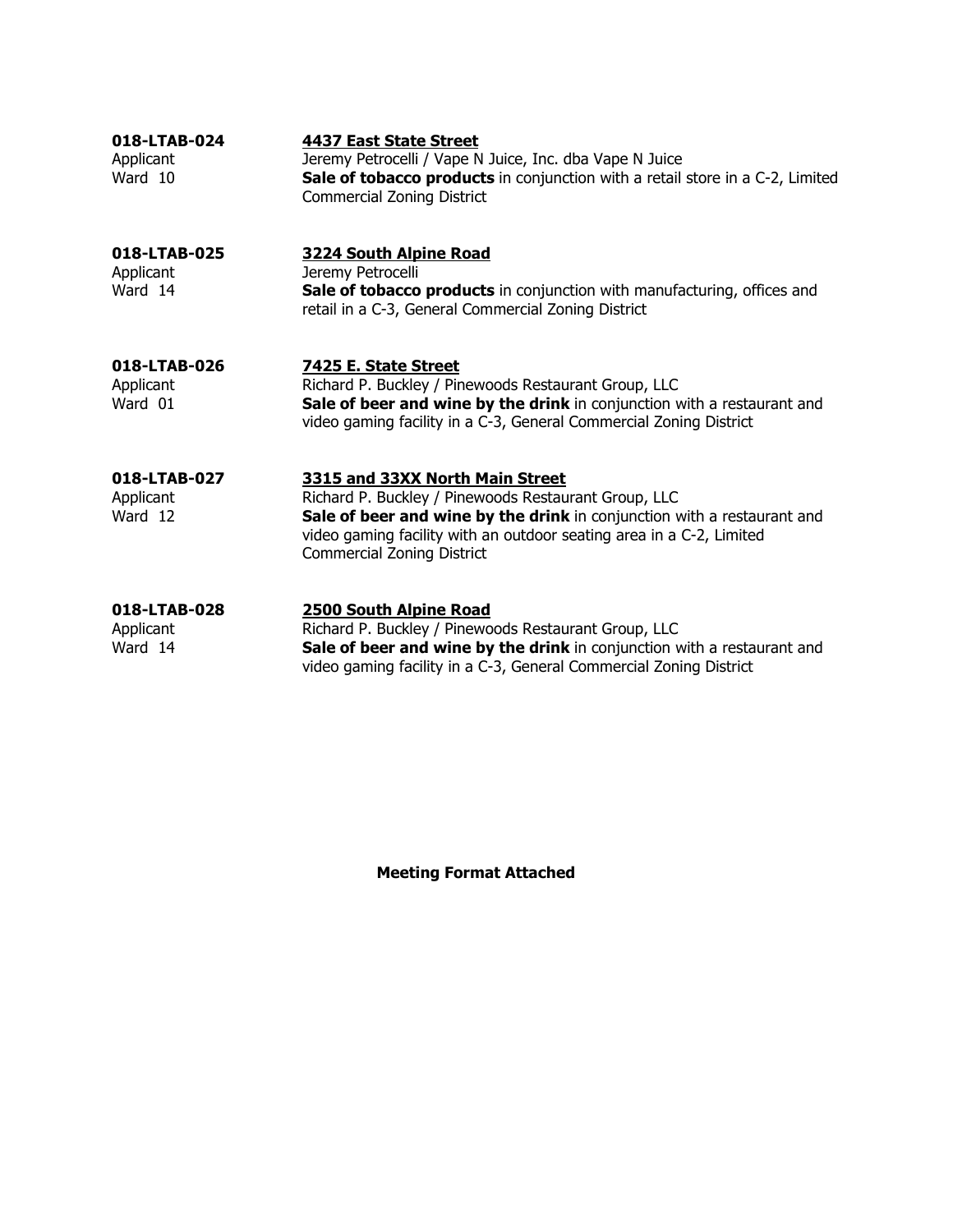| 018-LTAB-024<br>Applicant<br>Ward 10 | 4437 East State Street<br>Jeremy Petrocelli / Vape N Juice, Inc. dba Vape N Juice<br>Sale of tobacco products in conjunction with a retail store in a C-2, Limited<br><b>Commercial Zoning District</b>                                                                         |
|--------------------------------------|---------------------------------------------------------------------------------------------------------------------------------------------------------------------------------------------------------------------------------------------------------------------------------|
| 018-LTAB-025<br>Applicant<br>Ward 14 | <b>3224 South Alpine Road</b><br>Jeremy Petrocelli<br>Sale of tobacco products in conjunction with manufacturing, offices and<br>retail in a C-3, General Commercial Zoning District                                                                                            |
| 018-LTAB-026<br>Applicant<br>Ward 01 | 7425 E. State Street<br>Richard P. Buckley / Pinewoods Restaurant Group, LLC<br>Sale of beer and wine by the drink in conjunction with a restaurant and<br>video gaming facility in a C-3, General Commercial Zoning District                                                   |
| 018-LTAB-027<br>Applicant<br>Ward 12 | 3315 and 33XX North Main Street<br>Richard P. Buckley / Pinewoods Restaurant Group, LLC<br>Sale of beer and wine by the drink in conjunction with a restaurant and<br>video gaming facility with an outdoor seating area in a C-2, Limited<br><b>Commercial Zoning District</b> |
| 018-LTAB-028<br>Applicant<br>Ward 14 | <b>2500 South Alpine Road</b><br>Richard P. Buckley / Pinewoods Restaurant Group, LLC<br>Sale of beer and wine by the drink in conjunction with a restaurant and<br>video gaming facility in a C-3, General Commercial Zoning District                                          |

Meeting Format Attached